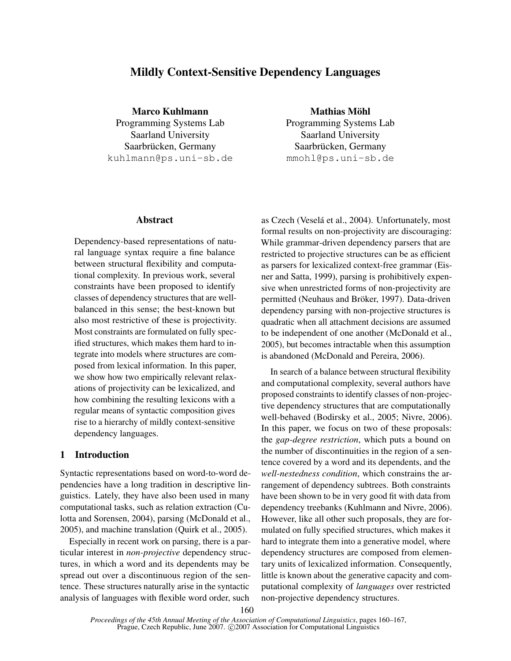# Mildly Context-Sensitive Dependency Languages

Marco Kuhlmann Programming Systems Lab Saarland University Saarbrücken, Germany kuhlmann@ps.uni-sb.de

Abstract

Dependency-based representations of natural language syntax require a fine balance between structural flexibility and computational complexity. In previous work, several constraints have been proposed to identify classes of dependency structures that are wellbalanced in this sense; the best-known but also most restrictive of these is projectivity. Most constraints are formulated on fully specified structures, which makes them hard to integrate into models where structures are composed from lexical information. In this paper, we show how two empirically relevant relaxations of projectivity can be lexicalized, and how combining the resulting lexicons with a regular means of syntactic composition gives rise to a hierarchy of mildly context-sensitive dependency languages.

# 1 Introduction

Syntactic representations based on word-to-word dependencies have a long tradition in descriptive linguistics. Lately, they have also been used in many computational tasks, such as relation extraction (Culotta and Sorensen, 2004), parsing (McDonald et al., 2005), and machine translation (Quirk et al., 2005).

Especially in recent work on parsing, there is a particular interest in *non-projective* dependency structures, in which a word and its dependents may be spread out over a discontinuous region of the sentence. These structures naturally arise in the syntactic analysis of languages with flexible word order, such

Mathias Möhl Programming Systems Lab Saarland University Saarbrücken, Germany mmohl@ps.uni-sb.de

as Czech (Veselá et al., 2004). Unfortunately, most formal results on non-projectivity are discouraging: While grammar-driven dependency parsers that are restricted to projective structures can be as efficient as parsers for lexicalized context-free grammar (Eisner and Satta, 1999), parsing is prohibitively expensive when unrestricted forms of non-projectivity are permitted (Neuhaus and Bröker, 1997). Data-driven dependency parsing with non-projective structures is quadratic when all attachment decisions are assumed to be independent of one another (McDonald et al., 2005), but becomes intractable when this assumption is abandoned (McDonald and Pereira, 2006).

In search of a balance between structural flexibility and computational complexity, several authors have proposed constraints to identify classes of non-projective dependency structures that are computationally well-behaved (Bodirsky et al., 2005; Nivre, 2006). In this paper, we focus on two of these proposals: the *gap-degree restriction*, which puts a bound on the number of discontinuities in the region of a sentence covered by a word and its dependents, and the *well-nestedness condition*, which constrains the arrangement of dependency subtrees. Both constraints have been shown to be in very good fit with data from dependency treebanks (Kuhlmann and Nivre, 2006). However, like all other such proposals, they are formulated on fully specified structures, which makes it hard to integrate them into a generative model, where dependency structures are composed from elementary units of lexicalized information. Consequently, little is known about the generative capacity and computational complexity of *languages* over restricted non-projective dependency structures.

*Proceedings of the 45th Annual Meeting of the Association of Computational Linguistics*, pages 160–167, Prague, Czech Republic, June 2007. © 2007 Association for Computational Linguistics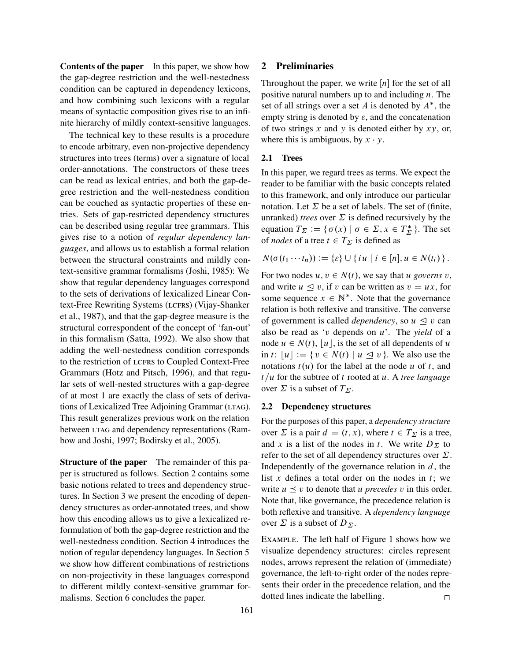Contents of the paper In this paper, we show how the gap-degree restriction and the well-nestedness condition can be captured in dependency lexicons, and how combining such lexicons with a regular means of syntactic composition gives rise to an infinite hierarchy of mildly context-sensitive languages.

The technical key to these results is a procedure to encode arbitrary, even non-projective dependency structures into trees (terms) over a signature of local order-annotations. The constructors of these trees can be read as lexical entries, and both the gap-degree restriction and the well-nestedness condition can be couched as syntactic properties of these entries. Sets of gap-restricted dependency structures can be described using regular tree grammars. This gives rise to a notion of *regular dependency languages*, and allows us to establish a formal relation between the structural constraints and mildly context-sensitive grammar formalisms (Joshi, 1985): We show that regular dependency languages correspond to the sets of derivations of lexicalized Linear Context-Free Rewriting Systems (LCFRS) (Vijay-Shanker et al., 1987), and that the gap-degree measure is the structural correspondent of the concept of 'fan-out' in this formalism (Satta, 1992). We also show that adding the well-nestedness condition corresponds to the restriction of LCFRS to Coupled Context-Free Grammars (Hotz and Pitsch, 1996), and that regular sets of well-nested structures with a gap-degree of at most 1 are exactly the class of sets of derivations of Lexicalized Tree Adjoining Grammar (LTAG). This result generalizes previous work on the relation between LTAG and dependency representations (Rambow and Joshi, 1997; Bodirsky et al., 2005).

Structure of the paper The remainder of this paper is structured as follows. Section 2 contains some basic notions related to trees and dependency structures. In Section 3 we present the encoding of dependency structures as order-annotated trees, and show how this encoding allows us to give a lexicalized reformulation of both the gap-degree restriction and the well-nestedness condition. Section 4 introduces the notion of regular dependency languages. In Section 5 we show how different combinations of restrictions on non-projectivity in these languages correspond to different mildly context-sensitive grammar formalisms. Section 6 concludes the paper.

# 2 Preliminaries

Throughout the paper, we write  $[n]$  for the set of all positive natural numbers up to and including  $n$ . The set of all strings over a set A is denoted by  $A^*$ , the empty string is denoted by  $\varepsilon$ , and the concatenation of two strings  $x$  and  $y$  is denoted either by  $xy$ , or, where this is ambiguous, by  $x \cdot y$ .

### 2.1 Trees

In this paper, we regard trees as terms. We expect the reader to be familiar with the basic concepts related to this framework, and only introduce our particular notation. Let  $\Sigma$  be a set of labels. The set of (finite, unranked) *trees* over  $\Sigma$  is defined recursively by the equation  $T_{\Sigma} := {\sigma(x) | \sigma \in \Sigma, x \in T_{\Sigma}^*}$  $\sum_{\Sigma}^*$  }. The set of *nodes* of a tree  $t \in T_{\Sigma}$  is defined as

$$
N(\sigma(t_1\cdots t_n)) := \{\varepsilon\} \cup \{iu \mid i \in [n], u \in N(t_i)\}.
$$

For two nodes  $u, v \in N(t)$ , we say that u *governs* v, and write  $u \le v$ , if v can be written as  $v = ux$ , for some sequence  $x \in \mathbb{N}^*$ . Note that the governance relation is both reflexive and transitive. The converse of government is called *dependency*, so  $u \le v$  can also be read as 'v depends on u'. The *yield* of a node  $u \in N(t)$ , |u|, is the set of all dependents of u in t:  $|u| := \{ v \in N(t) \mid u \leq v \}$ . We also use the notations  $t(u)$  for the label at the node u of t, and  $t/u$  for the subtree of t rooted at u. A *tree language* over  $\Sigma$  is a subset of  $T_{\Sigma}$ .

# 2.2 Dependency structures

For the purposes of this paper, a *dependency structure* over  $\Sigma$  is a pair  $d = (t, x)$ , where  $t \in T_{\Sigma}$  is a tree, and x is a list of the nodes in t. We write  $D_{\Sigma}$  to refer to the set of all dependency structures over  $\Sigma$ . Independently of the governance relation in  $d$ , the list x defines a total order on the nodes in  $t$ ; we write  $u \leq v$  to denote that u *precedes* v in this order. Note that, like governance, the precedence relation is both reflexive and transitive. A *dependency language* over  $\Sigma$  is a subset of  $D_{\Sigma}$ .

Example. The left half of Figure 1 shows how we visualize dependency structures: circles represent nodes, arrows represent the relation of (immediate) governance, the left-to-right order of the nodes represents their order in the precedence relation, and the dotted lines indicate the labelling.  $\square$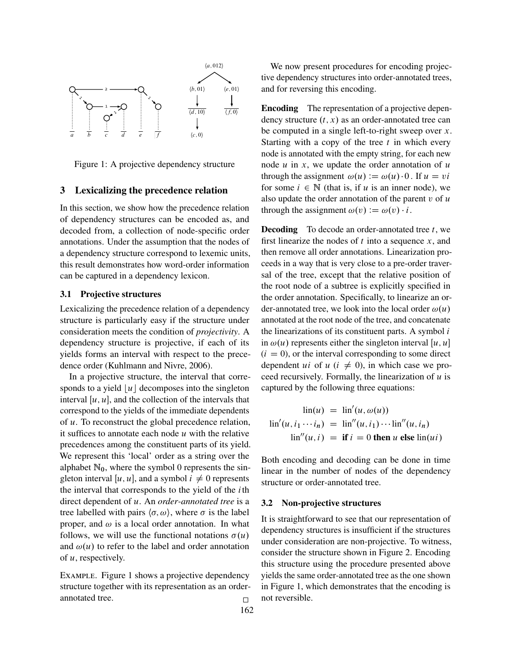

Figure 1: A projective dependency structure

### 3 Lexicalizing the precedence relation

In this section, we show how the precedence relation of dependency structures can be encoded as, and decoded from, a collection of node-specific order annotations. Under the assumption that the nodes of a dependency structure correspond to lexemic units, this result demonstrates how word-order information can be captured in a dependency lexicon.

### 3.1 Projective structures

Lexicalizing the precedence relation of a dependency structure is particularly easy if the structure under consideration meets the condition of *projectivity*. A dependency structure is projective, if each of its yields forms an interval with respect to the precedence order (Kuhlmann and Nivre, 2006).

In a projective structure, the interval that corresponds to a yield  $|u|$  decomposes into the singleton interval  $[u, u]$ , and the collection of the intervals that correspond to the yields of the immediate dependents of u. To reconstruct the global precedence relation, it suffices to annotate each node  $u$  with the relative precedences among the constituent parts of its yield. We represent this 'local' order as a string over the alphabet  $\mathbb{N}_0$ , where the symbol 0 represents the singleton interval [u, u], and a symbol  $i \neq 0$  represents the interval that corresponds to the yield of the  $i$ th direct dependent of u. An *order-annotated tree* is a tree labelled with pairs  $\langle \sigma, \omega \rangle$ , where  $\sigma$  is the label proper, and  $\omega$  is a local order annotation. In what follows, we will use the functional notations  $\sigma(u)$ and  $\omega(u)$  to refer to the label and order annotation of  $u$ , respectively.

Example. Figure 1 shows a projective dependency structure together with its representation as an orderannotated tree.

We now present procedures for encoding projective dependency structures into order-annotated trees, and for reversing this encoding.

Encoding The representation of a projective dependency structure  $(t, x)$  as an order-annotated tree can be computed in a single left-to-right sweep over  $x$ . Starting with a copy of the tree  $t$  in which every node is annotated with the empty string, for each new node  $u$  in  $x$ , we update the order annotation of  $u$ through the assignment  $\omega(u) := \omega(u) \cdot 0$ . If  $u = vi$ for some  $i \in \mathbb{N}$  (that is, if u is an inner node), we also update the order annotation of the parent  $v$  of  $u$ through the assignment  $\omega(v) := \omega(v) \cdot i$ .

**Decoding** To decode an order-annotated tree  $t$ , we first linearize the nodes of  $t$  into a sequence  $x$ , and then remove all order annotations. Linearization proceeds in a way that is very close to a pre-order traversal of the tree, except that the relative position of the root node of a subtree is explicitly specified in the order annotation. Specifically, to linearize an order-annotated tree, we look into the local order  $\omega(u)$ annotated at the root node of the tree, and concatenate the linearizations of its constituent parts. A symbol  $i$ in  $\omega(u)$  represents either the singleton interval [u, u]  $(i = 0)$ , or the interval corresponding to some direct dependent ui of  $u$  ( $i \neq 0$ ), in which case we proceed recursively. Formally, the linearization of  $u$  is captured by the following three equations:

$$
\begin{aligned}\n\text{lin}(u) &= \text{lin}'(u, \omega(u)) \\
\text{lin}'(u, i_1 \cdots i_n) &= \text{lin}''(u, i_1) \cdots \text{lin}''(u, i_n) \\
\text{lin}''(u, i) &= \text{if } i = 0 \text{ then } u \text{ else } \text{lin}(ui)\n\end{aligned}
$$

Both encoding and decoding can be done in time linear in the number of nodes of the dependency structure or order-annotated tree.

# 3.2 Non-projective structures

It is straightforward to see that our representation of dependency structures is insufficient if the structures under consideration are non-projective. To witness, consider the structure shown in Figure 2. Encoding this structure using the procedure presented above yields the same order-annotated tree as the one shown in Figure 1, which demonstrates that the encoding is not reversible.

162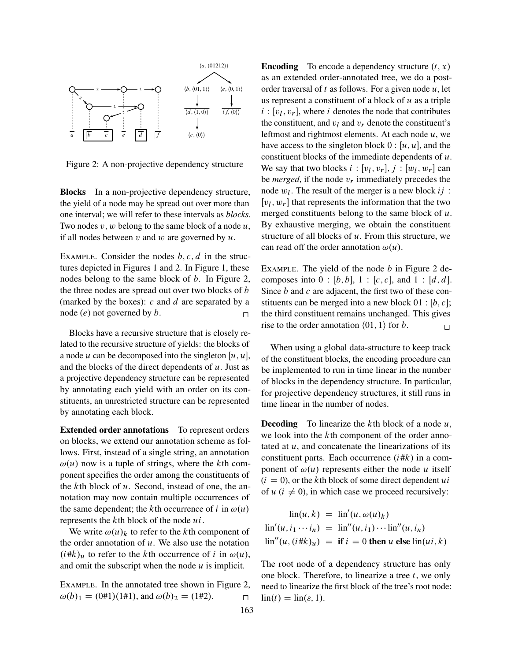

Figure 2: A non-projective dependency structure

Blocks In a non-projective dependency structure, the yield of a node may be spread out over more than one interval; we will refer to these intervals as *blocks*. Two nodes  $v, w$  belong to the same block of a node  $u$ , if all nodes between v and w are governed by  $u$ .

EXAMPLE. Consider the nodes  $b, c, d$  in the structures depicted in Figures 1 and 2. In Figure 1, these nodes belong to the same block of  $b$ . In Figure 2, the three nodes are spread out over two blocks of b (marked by the boxes):  $c$  and  $d$  are separated by a node  $(e)$  not governed by  $b$ .

Blocks have a recursive structure that is closely related to the recursive structure of yields: the blocks of a node u can be decomposed into the singleton  $[u, u]$ , and the blocks of the direct dependents of  $u$ . Just as a projective dependency structure can be represented by annotating each yield with an order on its constituents, an unrestricted structure can be represented by annotating each block.

Extended order annotations To represent orders on blocks, we extend our annotation scheme as follows. First, instead of a single string, an annotation  $\omega(u)$  now is a tuple of strings, where the kth component specifies the order among the constituents of the  $k$ th block of  $u$ . Second, instead of one, the annotation may now contain multiple occurrences of the same dependent; the kth occurrence of i in  $\omega(u)$ represents the  $k$ th block of the node  $ui$ .

We write  $\omega(u)_k$  to refer to the kth component of the order annotation of  $u$ . We also use the notation  $(i#k)_u$  to refer to the kth occurrence of i in  $\omega(u)$ , and omit the subscript when the node  $u$  is implicit.

Example. In the annotated tree shown in Figure 2,  $\omega(b)_1 = (0 \# 1)(1 \# 1)$ , and  $\omega(b)_2 = (1 \# 2)$ .

**Encoding** To encode a dependency structure  $(t, x)$ as an extended order-annotated tree, we do a postorder traversal of t as follows. For a given node  $u$ , let us represent a constituent of a block of  $u$  as a triple  $i : [v_l, v_r]$ , where i denotes the node that contributes the constituent, and  $v_l$  and  $v_r$  denote the constituent's leftmost and rightmost elements. At each node  $u$ , we have access to the singleton block  $0 : [u, u]$ , and the constituent blocks of the immediate dependents of  $u$ . We say that two blocks  $i : [v_l, v_r], j : [w_l, w_r]$  can be *merged*, if the node  $v_r$  immediately precedes the node  $w_l$ . The result of the merger is a new block  $ij$ :  $[v_l, w_r]$  that represents the information that the two merged constituents belong to the same block of  $u$ . By exhaustive merging, we obtain the constituent structure of all blocks of  $u$ . From this structure, we can read off the order annotation  $\omega(u)$ .

EXAMPLE. The yield of the node  $b$  in Figure 2 decomposes into  $0 : [b, b], 1 : [c, c],$  and  $1 : [d, d].$ Since  $b$  and  $c$  are adjacent, the first two of these constituents can be merged into a new block  $01 : [b, c];$ the third constituent remains unchanged. This gives rise to the order annotation  $(01, 1)$  for b.

When using a global data-structure to keep track of the constituent blocks, the encoding procedure can be implemented to run in time linear in the number of blocks in the dependency structure. In particular, for projective dependency structures, it still runs in time linear in the number of nodes.

**Decoding** To linearize the kth block of a node  $u$ , we look into the k<sup>th</sup> component of the order annotated at  $u$ , and concatenate the linearizations of its constituent parts. Each occurrence  $(i#k)$  in a component of  $\omega(u)$  represents either the node u itself  $(i = 0)$ , or the kth block of some direct dependent ui of  $u$  ( $i \neq 0$ ), in which case we proceed recursively:

$$
\begin{aligned}\n\text{lin}(u,k) &= \text{lin}'(u,\omega(u)_k) \\
\text{lin}'(u,i_1\cdots i_n) &= \text{lin}''(u,i_1)\cdots \text{lin}''(u,i_n) \\
\text{lin}''(u,(i\#k)_u) &= \text{if } i = 0 \text{ then } u \text{ else } \text{lin}(ui,k)\n\end{aligned}
$$

The root node of a dependency structure has only one block. Therefore, to linearize a tree  $t$ , we only need to linearize the first block of the tree's root node:  $\text{lin}(t) = \text{lin}(\varepsilon, 1).$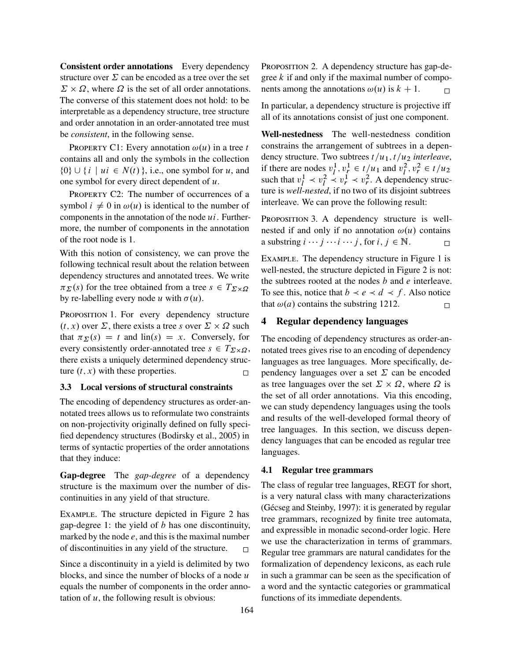Consistent order annotations Every dependency structure over  $\Sigma$  can be encoded as a tree over the set  $\Sigma \times \Omega$ , where  $\Omega$  is the set of all order annotations. The converse of this statement does not hold: to be interpretable as a dependency structure, tree structure and order annotation in an order-annotated tree must be *consistent*, in the following sense.

PROPERTY C1: Every annotation  $\omega(u)$  in a tree t contains all and only the symbols in the collection  $\{0\} \cup \{i \mid ui \in N(t)\}\$ , i.e., one symbol for u, and one symbol for every direct dependent of  $u$ .

PROPERTY C2: The number of occurrences of a symbol  $i \neq 0$  in  $\omega(u)$  is identical to the number of components in the annotation of the node  $ui$ . Furthermore, the number of components in the annotation of the root node is 1.

With this notion of consistency, we can prove the following technical result about the relation between dependency structures and annotated trees. We write  $\pi_{\Sigma}(s)$  for the tree obtained from a tree  $s \in T_{\Sigma \times \Omega}$ by re-labelling every node u with  $\sigma(u)$ .

PROPOSITION 1. For every dependency structure  $(t, x)$  over  $\Sigma$ , there exists a tree s over  $\Sigma \times \Omega$  such that  $\pi_{\Sigma}(s) = t$  and  $\text{lin}(s) = x$ . Conversely, for every consistently order-annotated tree  $s \in T_{\Sigma \times \Omega}$ , there exists a uniquely determined dependency structure  $(t, x)$  with these properties.

### 3.3 Local versions of structural constraints

The encoding of dependency structures as order-annotated trees allows us to reformulate two constraints on non-projectivity originally defined on fully specified dependency structures (Bodirsky et al., 2005) in terms of syntactic properties of the order annotations that they induce:

Gap-degree The *gap-degree* of a dependency structure is the maximum over the number of discontinuities in any yield of that structure.

Example. The structure depicted in Figure 2 has gap-degree 1: the yield of  $b$  has one discontinuity, marked by the node  $e$ , and this is the maximal number of discontinuities in any yield of the structure.  $\Box$ 

Since a discontinuity in a yield is delimited by two blocks, and since the number of blocks of a node  $u$ equals the number of components in the order annotation of  $u$ , the following result is obvious:

PROPOSITION 2. A dependency structure has gap-degree  $k$  if and only if the maximal number of components among the annotations  $\omega(u)$  is  $k + 1$ .

In particular, a dependency structure is projective iff all of its annotations consist of just one component.

Well-nestedness The well-nestedness condition constrains the arrangement of subtrees in a dependency structure. Two subtrees  $t/u_1$ ,  $t/u_2$  *interleave*, if there are nodes  $v_l^1$  $l^1, v_r^1 \in t/u_1$  and  $v_l^2$  $\frac{2}{l}, v_r^2 \in t/u_2$ such that  $v_l^1$  $\frac{1}{l} \prec v_l^2$  $\frac{2}{l} \times v_r^1 \times v_r^2$ . A dependency structure is *well-nested*, if no two of its disjoint subtrees interleave. We can prove the following result:

PROPOSITION 3. A dependency structure is wellnested if and only if no annotation  $\omega(u)$  contains a substring  $i \cdots j \cdots i \cdots j$ , for  $i, j \in \mathbb{N}$ .

Example. The dependency structure in Figure 1 is well-nested, the structure depicted in Figure 2 is not: the subtrees rooted at the nodes  $b$  and  $e$  interleave. To see this, notice that  $b \prec e \prec d \prec f$ . Also notice that  $\omega(a)$  contains the substring 1212.

# 4 Regular dependency languages

The encoding of dependency structures as order-annotated trees gives rise to an encoding of dependency languages as tree languages. More specifically, dependency languages over a set  $\Sigma$  can be encoded as tree languages over the set  $\Sigma \times \Omega$ , where  $\Omega$  is the set of all order annotations. Via this encoding, we can study dependency languages using the tools and results of the well-developed formal theory of tree languages. In this section, we discuss dependency languages that can be encoded as regular tree languages.

# 4.1 Regular tree grammars

The class of regular tree languages, REGT for short, is a very natural class with many characterizations (Gécseg and Steinby, 1997): it is generated by regular tree grammars, recognized by finite tree automata, and expressible in monadic second-order logic. Here we use the characterization in terms of grammars. Regular tree grammars are natural candidates for the formalization of dependency lexicons, as each rule in such a grammar can be seen as the specification of a word and the syntactic categories or grammatical functions of its immediate dependents.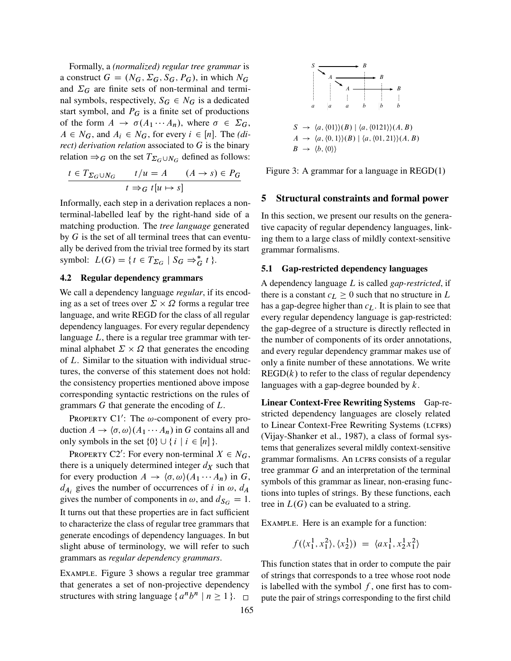Formally, a *(normalized) regular tree grammar* is a construct  $G = (N_G, \Sigma_G, S_G, P_G)$ , in which  $N_G$ and  $\Sigma_G$  are finite sets of non-terminal and terminal symbols, respectively,  $S_G \in N_G$  is a dedicated start symbol, and  $P_G$  is a finite set of productions of the form  $A \rightarrow \sigma(A_1 \cdots A_n)$ , where  $\sigma \in \Sigma_G$ ,  $A \in N_G$ , and  $A_i \in N_G$ , for every  $i \in [n]$ . The *(direct) derivation relation* associated to G is the binary relation  $\Rightarrow_G$  on the set  $T_{\Sigma_G \cup N_G}$  defined as follows:

$$
\frac{t \in T_{\Sigma_G \cup N_G} \qquad t/u = A \qquad (A \to s) \in P_G}{t \Rightarrow_G t[u \mapsto s]}
$$

Informally, each step in a derivation replaces a nonterminal-labelled leaf by the right-hand side of a matching production. The *tree language* generated by  $G$  is the set of all terminal trees that can eventually be derived from the trivial tree formed by its start symbol:  $L(G) = \{ t \in T_{\Sigma_G} \mid S_G \Rightarrow^*_{G} t \}.$ 

# 4.2 Regular dependency grammars

We call a dependency language *regular*, if its encoding as a set of trees over  $\Sigma \times \Omega$  forms a regular tree language, and write REGD for the class of all regular dependency languages. For every regular dependency language  $L$ , there is a regular tree grammar with terminal alphabet  $\Sigma \times \Omega$  that generates the encoding of L. Similar to the situation with individual structures, the converse of this statement does not hold: the consistency properties mentioned above impose corresponding syntactic restrictions on the rules of grammars G that generate the encoding of L.

PROPERTY C1': The  $\omega$ -component of every production  $A \to \langle \sigma, \omega \rangle (A_1 \cdots A_n)$  in G contains all and only symbols in the set  $\{0\} \cup \{i \mid i \in [n]\}.$ 

PROPERTY C2': For every non-terminal  $X \in N_G$ , there is a uniquely determined integer  $d<sub>X</sub>$  such that for every production  $A \rightarrow \langle \sigma, \omega \rangle (A_1 \cdots A_n)$  in G,  $d_{A_i}$  gives the number of occurrences of i in  $\omega$ ,  $d_A$ gives the number of components in  $\omega$ , and  $d_{S_G} = 1$ . It turns out that these properties are in fact sufficient to characterize the class of regular tree grammars that generate encodings of dependency languages. In but slight abuse of terminology, we will refer to such grammars as *regular dependency grammars*.

Example. Figure 3 shows a regular tree grammar that generates a set of non-projective dependency structures with string language  $\{a^n b^n \mid n \ge 1\}$ .



Figure 3: A grammar for a language in  $REGD(1)$ 

### 5 Structural constraints and formal power

In this section, we present our results on the generative capacity of regular dependency languages, linking them to a large class of mildly context-sensitive grammar formalisms.

#### 5.1 Gap-restricted dependency languages

A dependency language L is called *gap-restricted*, if there is a constant  $c_l > 0$  such that no structure in L has a gap-degree higher than  $c<sub>L</sub>$ . It is plain to see that every regular dependency language is gap-restricted: the gap-degree of a structure is directly reflected in the number of components of its order annotations, and every regular dependency grammar makes use of only a finite number of these annotations. We write  $REGD(k)$  to refer to the class of regular dependency languages with a gap-degree bounded by  $k$ .

Linear Context-Free Rewriting Systems Gap-restricted dependency languages are closely related to Linear Context-Free Rewriting Systems (LCFRS) (Vijay-Shanker et al., 1987), a class of formal systems that generalizes several mildly context-sensitive grammar formalisms. An LCFRS consists of a regular tree grammar G and an interpretation of the terminal symbols of this grammar as linear, non-erasing functions into tuples of strings. By these functions, each tree in  $L(G)$  can be evaluated to a string.

Example. Here is an example for a function:

$$
f(\langle x_1^1, x_1^2 \rangle, \langle x_2^1 \rangle) = \langle ax_1^1, x_2^1 x_1^2 \rangle
$$

This function states that in order to compute the pair of strings that corresponds to a tree whose root node is labelled with the symbol  $f$ , one first has to compute the pair of strings corresponding to the first child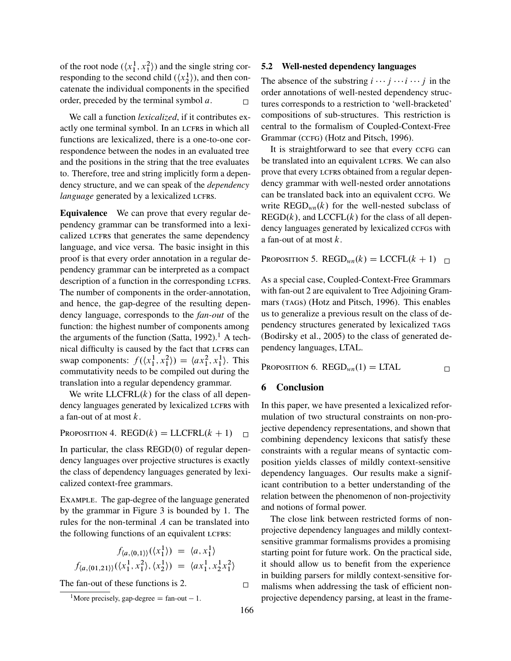of the root node  $(\langle x_1^1, x_1^2 \rangle)$  and the single string corresponding to the second child  $(\langle x_2^1 \rangle)$ , and then concatenate the individual components in the specified order, preceded by the terminal symbol  $a$ .

We call a function *lexicalized*, if it contributes exactly one terminal symbol. In an LCFRS in which all functions are lexicalized, there is a one-to-one correspondence between the nodes in an evaluated tree and the positions in the string that the tree evaluates to. Therefore, tree and string implicitly form a dependency structure, and we can speak of the *dependency language* generated by a lexicalized LCFRS.

Equivalence We can prove that every regular dependency grammar can be transformed into a lexicalized LCFRS that generates the same dependency language, and vice versa. The basic insight in this proof is that every order annotation in a regular dependency grammar can be interpreted as a compact description of a function in the corresponding LCFRS. The number of components in the order-annotation, and hence, the gap-degree of the resulting dependency language, corresponds to the *fan-out* of the function: the highest number of components among the arguments of the function (Satta, 1992).<sup>1</sup> A technical difficulty is caused by the fact that LCFRS can swap components:  $f(\langle x_1^1, x_1^2 \rangle) = \langle ax_1^2, x_1^1 \rangle$ . This commutativity needs to be compiled out during the translation into a regular dependency grammar.

We write  $LLCFRL(k)$  for the class of all dependency languages generated by lexicalized LCFRS with a fan-out of at most k.

PROPOSITION 4. REGD $(k)$  = LLCFRL $(k + 1)$ 

In particular, the class  $REGD(0)$  of regular dependency languages over projective structures is exactly the class of dependency languages generated by lexicalized context-free grammars.

Example. The gap-degree of the language generated by the grammar in Figure 3 is bounded by 1. The rules for the non-terminal A can be translated into the following functions of an equivalent LCFRS:

$$
f_{\langle a,\langle 0,1\rangle\rangle}(\langle x_1^1\rangle) = \langle a, x_1^1\rangle
$$
  

$$
f_{\langle a,\langle 01,21\rangle\rangle}(\langle x_1^1, x_1^2\rangle, \langle x_2^1\rangle) = \langle ax_1^1, x_2^1 x_1^2\rangle
$$

The fan-out of these functions is 2.  $\Box$ 

# 5.2 Well-nested dependency languages

The absence of the substring  $i \cdots j \cdots i \cdots j$  in the order annotations of well-nested dependency structures corresponds to a restriction to 'well-bracketed' compositions of sub-structures. This restriction is central to the formalism of Coupled-Context-Free Grammar (CCFG) (Hotz and Pitsch, 1996).

It is straightforward to see that every cc<sub>FG</sub> can be translated into an equivalent LCFRS. We can also prove that every LCFRS obtained from a regular dependency grammar with well-nested order annotations can be translated back into an equivalent ccFG. We write  $\text{REGD}_{wn}(k)$  for the well-nested subclass of  $REGD(k)$ , and  $LCCFL(k)$  for the class of all dependency languages generated by lexicalized ccFGs with a fan-out of at most k.

PROPOSITION 5. REGD<sub>*wn*</sub> $(k)$  = LCCFL $(k + 1)$ 

As a special case, Coupled-Context-Free Grammars with fan-out 2 are equivalent to Tree Adjoining Grammars (TAGS) (Hotz and Pitsch, 1996). This enables us to generalize a previous result on the class of dependency structures generated by lexicalized TAGs (Bodirsky et al., 2005) to the class of generated dependency languages, LTAL.

PROPOSITION 6. REGD<sub>*wn*</sub> $(1)$  = LTAL  $\Box$ 

# 6 Conclusion

In this paper, we have presented a lexicalized reformulation of two structural constraints on non-projective dependency representations, and shown that combining dependency lexicons that satisfy these constraints with a regular means of syntactic composition yields classes of mildly context-sensitive dependency languages. Our results make a significant contribution to a better understanding of the relation between the phenomenon of non-projectivity and notions of formal power.

The close link between restricted forms of nonprojective dependency languages and mildly contextsensitive grammar formalisms provides a promising starting point for future work. On the practical side, it should allow us to benefit from the experience in building parsers for mildly context-sensitive formalisms when addressing the task of efficient nonprojective dependency parsing, at least in the frame-

<sup>&</sup>lt;sup>1</sup>More precisely, gap-degree  $=$  fan-out  $-1$ .